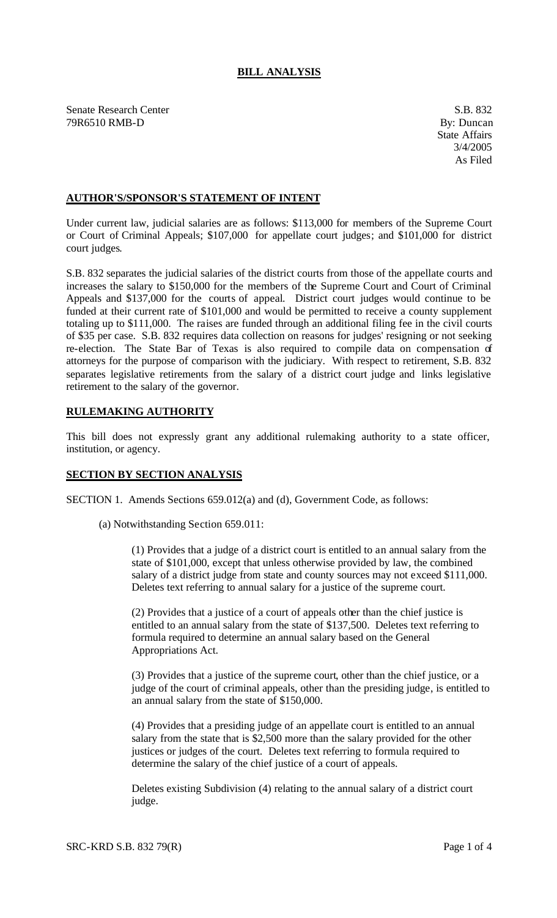## **BILL ANALYSIS**

Senate Research Center S.B. 832 79R6510 RMB-D By: Duncan

## **AUTHOR'S/SPONSOR'S STATEMENT OF INTENT**

Under current law, judicial salaries are as follows: \$113,000 for members of the Supreme Court or Court of Criminal Appeals; \$107,000 for appellate court judges; and \$101,000 for district court judges.

S.B. 832 separates the judicial salaries of the district courts from those of the appellate courts and increases the salary to \$150,000 for the members of the Supreme Court and Court of Criminal Appeals and \$137,000 for the courts of appeal. District court judges would continue to be funded at their current rate of \$101,000 and would be permitted to receive a county supplement totaling up to \$111,000. The raises are funded through an additional filing fee in the civil courts of \$35 per case. S.B. 832 requires data collection on reasons for judges' resigning or not seeking re-election. The State Bar of Texas is also required to compile data on compensation of attorneys for the purpose of comparison with the judiciary. With respect to retirement, S.B. 832 separates legislative retirements from the salary of a district court judge and links legislative retirement to the salary of the governor.

## **RULEMAKING AUTHORITY**

This bill does not expressly grant any additional rulemaking authority to a state officer, institution, or agency.

## **SECTION BY SECTION ANALYSIS**

SECTION 1. Amends Sections 659.012(a) and (d), Government Code, as follows:

(a) Notwithstanding Section 659.011:

(1) Provides that a judge of a district court is entitled to an annual salary from the state of \$101,000, except that unless otherwise provided by law, the combined salary of a district judge from state and county sources may not exceed \$111,000. Deletes text referring to annual salary for a justice of the supreme court.

(2) Provides that a justice of a court of appeals other than the chief justice is entitled to an annual salary from the state of \$137,500. Deletes text referring to formula required to determine an annual salary based on the General Appropriations Act.

(3) Provides that a justice of the supreme court, other than the chief justice, or a judge of the court of criminal appeals, other than the presiding judge, is entitled to an annual salary from the state of \$150,000.

(4) Provides that a presiding judge of an appellate court is entitled to an annual salary from the state that is \$2,500 more than the salary provided for the other justices or judges of the court. Deletes text referring to formula required to determine the salary of the chief justice of a court of appeals.

Deletes existing Subdivision (4) relating to the annual salary of a district court judge.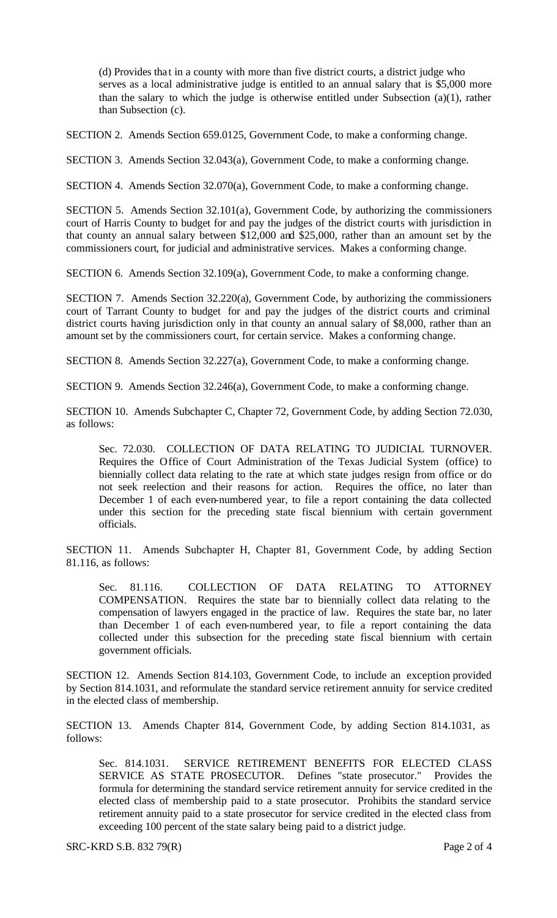(d) Provides tha t in a county with more than five district courts, a district judge who serves as a local administrative judge is entitled to an annual salary that is \$5,000 more than the salary to which the judge is otherwise entitled under Subsection (a)(1), rather than Subsection (c).

SECTION 2. Amends Section 659.0125, Government Code, to make a conforming change.

SECTION 3. Amends Section 32.043(a), Government Code, to make a conforming change.

SECTION 4. Amends Section 32.070(a), Government Code, to make a conforming change.

SECTION 5. Amends Section 32.101(a), Government Code, by authorizing the commissioners court of Harris County to budget for and pay the judges of the district courts with jurisdiction in that county an annual salary between \$12,000 and \$25,000, rather than an amount set by the commissioners court, for judicial and administrative services. Makes a conforming change.

SECTION 6. Amends Section 32.109(a), Government Code, to make a conforming change.

SECTION 7. Amends Section 32.220(a), Government Code, by authorizing the commissioners court of Tarrant County to budget for and pay the judges of the district courts and criminal district courts having jurisdiction only in that county an annual salary of \$8,000, rather than an amount set by the commissioners court, for certain service. Makes a conforming change.

SECTION 8. Amends Section 32.227(a), Government Code, to make a conforming change.

SECTION 9. Amends Section 32.246(a), Government Code, to make a conforming change.

SECTION 10. Amends Subchapter C, Chapter 72, Government Code, by adding Section 72.030, as follows:

Sec. 72.030. COLLECTION OF DATA RELATING TO JUDICIAL TURNOVER. Requires the Office of Court Administration of the Texas Judicial System (office) to biennially collect data relating to the rate at which state judges resign from office or do not seek reelection and their reasons for action. Requires the office, no later than December 1 of each even-numbered year, to file a report containing the data collected under this section for the preceding state fiscal biennium with certain government officials.

SECTION 11. Amends Subchapter H, Chapter 81, Government Code, by adding Section 81.116, as follows:

Sec. 81.116. COLLECTION OF DATA RELATING TO ATTORNEY COMPENSATION. Requires the state bar to biennially collect data relating to the compensation of lawyers engaged in the practice of law. Requires the state bar, no later than December 1 of each even-numbered year, to file a report containing the data collected under this subsection for the preceding state fiscal biennium with certain government officials.

SECTION 12. Amends Section 814.103, Government Code, to include an exception provided by Section 814.1031, and reformulate the standard service retirement annuity for service credited in the elected class of membership.

SECTION 13. Amends Chapter 814, Government Code, by adding Section 814.1031, as follows:

Sec. 814.1031. SERVICE RETIREMENT BENEFITS FOR ELECTED CLASS SERVICE AS STATE PROSECUTOR. Defines "state prosecutor." Provides the formula for determining the standard service retirement annuity for service credited in the elected class of membership paid to a state prosecutor. Prohibits the standard service retirement annuity paid to a state prosecutor for service credited in the elected class from exceeding 100 percent of the state salary being paid to a district judge.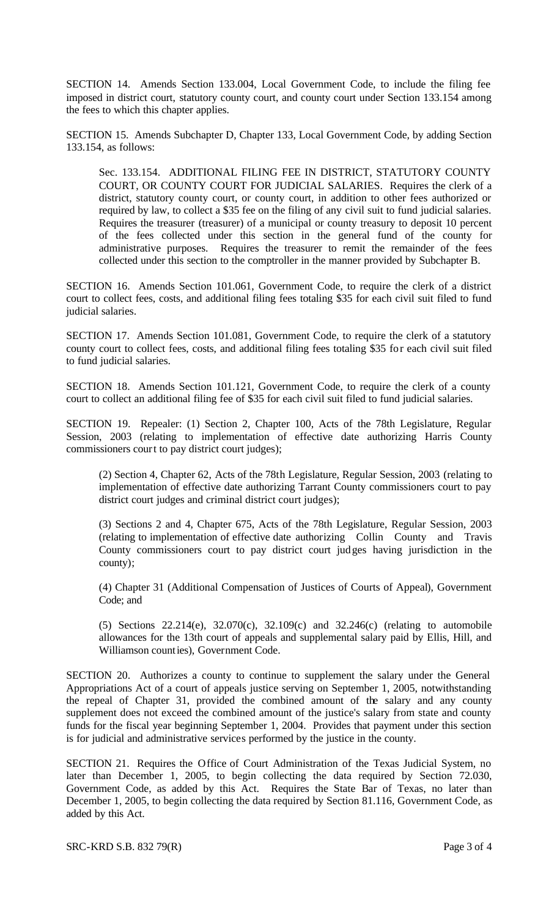SECTION 14. Amends Section 133.004, Local Government Code, to include the filing fee imposed in district court, statutory county court, and county court under Section 133.154 among the fees to which this chapter applies.

SECTION 15. Amends Subchapter D, Chapter 133, Local Government Code, by adding Section 133.154, as follows:

Sec. 133.154. ADDITIONAL FILING FEE IN DISTRICT, STATUTORY COUNTY COURT, OR COUNTY COURT FOR JUDICIAL SALARIES. Requires the clerk of a district, statutory county court, or county court, in addition to other fees authorized or required by law, to collect a \$35 fee on the filing of any civil suit to fund judicial salaries. Requires the treasurer (treasurer) of a municipal or county treasury to deposit 10 percent of the fees collected under this section in the general fund of the county for administrative purposes. Requires the treasurer to remit the remainder of the fees collected under this section to the comptroller in the manner provided by Subchapter B.

SECTION 16. Amends Section 101.061, Government Code, to require the clerk of a district court to collect fees, costs, and additional filing fees totaling \$35 for each civil suit filed to fund judicial salaries.

SECTION 17. Amends Section 101.081, Government Code, to require the clerk of a statutory county court to collect fees, costs, and additional filing fees totaling \$35 for each civil suit filed to fund judicial salaries.

SECTION 18. Amends Section 101.121, Government Code, to require the clerk of a county court to collect an additional filing fee of \$35 for each civil suit filed to fund judicial salaries.

SECTION 19. Repealer: (1) Section 2, Chapter 100, Acts of the 78th Legislature, Regular Session, 2003 (relating to implementation of effective date authorizing Harris County commissioners court to pay district court judges);

(2) Section 4, Chapter 62, Acts of the 78th Legislature, Regular Session, 2003 (relating to implementation of effective date authorizing Tarrant County commissioners court to pay district court judges and criminal district court judges);

(3) Sections 2 and 4, Chapter 675, Acts of the 78th Legislature, Regular Session, 2003 (relating to implementation of effective date authorizing Collin County and Travis County commissioners court to pay district court judges having jurisdiction in the county);

(4) Chapter 31 (Additional Compensation of Justices of Courts of Appeal), Government Code; and

(5) Sections 22.214(e), 32.070(c), 32.109(c) and 32.246(c) (relating to automobile allowances for the 13th court of appeals and supplemental salary paid by Ellis, Hill, and Williamson counties), Government Code.

SECTION 20. Authorizes a county to continue to supplement the salary under the General Appropriations Act of a court of appeals justice serving on September 1, 2005, notwithstanding the repeal of Chapter 31, provided the combined amount of the salary and any county supplement does not exceed the combined amount of the justice's salary from state and county funds for the fiscal year beginning September 1, 2004. Provides that payment under this section is for judicial and administrative services performed by the justice in the county.

SECTION 21. Requires the Office of Court Administration of the Texas Judicial System, no later than December 1, 2005, to begin collecting the data required by Section 72.030, Government Code, as added by this Act. Requires the State Bar of Texas, no later than December 1, 2005, to begin collecting the data required by Section 81.116, Government Code, as added by this Act.